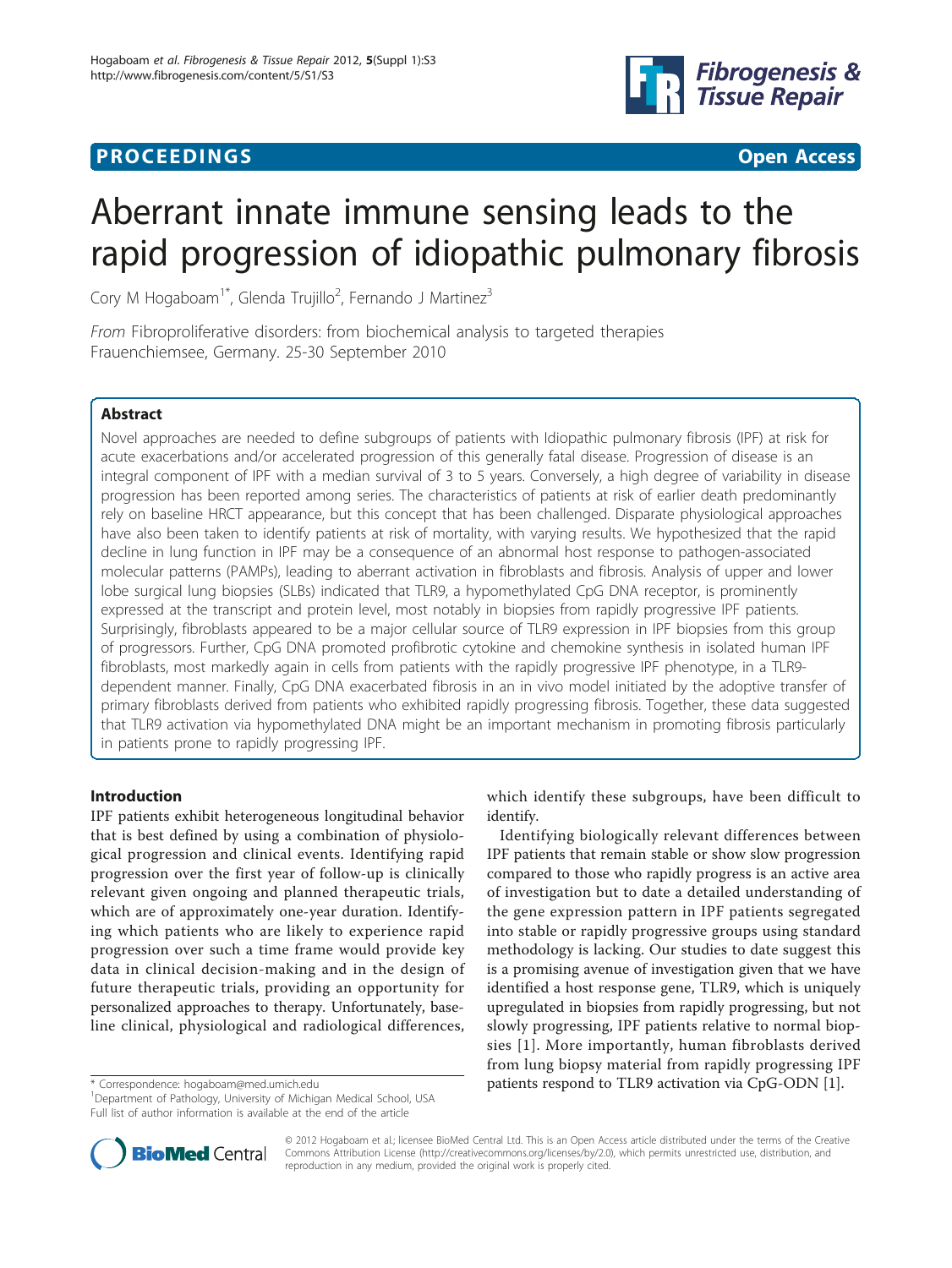## **PROCEEDINGS STATE ACCESS CONSUMING SECTION CONSUMING SECTION CONSUMING SECTION CONSUMING SECTION CONSUMING SECTION CONSUMING SECTION CONSUMING SECTION CONSUMING SECTION CONSUMING SECTION CONSUMING SECTION CONSUMING SE**



# Aberrant innate immune sensing leads to the rapid progression of idiopathic pulmonary fibrosis

Cory M Hogaboam<sup>1\*</sup>, Glenda Trujillo<sup>2</sup>, Fernando J Martinez<sup>3</sup>

From Fibroproliferative disorders: from biochemical analysis to targeted therapies Frauenchiemsee, Germany. 25-30 September 2010

## Abstract

Novel approaches are needed to define subgroups of patients with Idiopathic pulmonary fibrosis (IPF) at risk for acute exacerbations and/or accelerated progression of this generally fatal disease. Progression of disease is an integral component of IPF with a median survival of 3 to 5 years. Conversely, a high degree of variability in disease progression has been reported among series. The characteristics of patients at risk of earlier death predominantly rely on baseline HRCT appearance, but this concept that has been challenged. Disparate physiological approaches have also been taken to identify patients at risk of mortality, with varying results. We hypothesized that the rapid decline in lung function in IPF may be a consequence of an abnormal host response to pathogen-associated molecular patterns (PAMPs), leading to aberrant activation in fibroblasts and fibrosis. Analysis of upper and lower lobe surgical lung biopsies (SLBs) indicated that TLR9, a hypomethylated CpG DNA receptor, is prominently expressed at the transcript and protein level, most notably in biopsies from rapidly progressive IPF patients. Surprisingly, fibroblasts appeared to be a major cellular source of TLR9 expression in IPF biopsies from this group of progressors. Further, CpG DNA promoted profibrotic cytokine and chemokine synthesis in isolated human IPF fibroblasts, most markedly again in cells from patients with the rapidly progressive IPF phenotype, in a TLR9 dependent manner. Finally, CpG DNA exacerbated fibrosis in an in vivo model initiated by the adoptive transfer of primary fibroblasts derived from patients who exhibited rapidly progressing fibrosis. Together, these data suggested that TLR9 activation via hypomethylated DNA might be an important mechanism in promoting fibrosis particularly in patients prone to rapidly progressing IPF.

## Introduction

IPF patients exhibit heterogeneous longitudinal behavior that is best defined by using a combination of physiological progression and clinical events. Identifying rapid progression over the first year of follow-up is clinically relevant given ongoing and planned therapeutic trials, which are of approximately one-year duration. Identifying which patients who are likely to experience rapid progression over such a time frame would provide key data in clinical decision-making and in the design of future therapeutic trials, providing an opportunity for personalized approaches to therapy. Unfortunately, baseline clinical, physiological and radiological differences,

which identify these subgroups, have been difficult to identify.

Identifying biologically relevant differences between IPF patients that remain stable or show slow progression compared to those who rapidly progress is an active area of investigation but to date a detailed understanding of the gene expression pattern in IPF patients segregated into stable or rapidly progressive groups using standard methodology is lacking. Our studies to date suggest this is a promising avenue of investigation given that we have identified a host response gene, TLR9, which is uniquely upregulated in biopsies from rapidly progressing, but not slowly progressing, IPF patients relative to normal biopsies [[1](#page-3-0)]. More importantly, human fibroblasts derived from lung biopsy material from rapidly progressing IPF \* Correspondence: [hogaboam@med.umich.edu](mailto:hogaboam@med.umich.edu) patients respond to TLR9 activation via CpG-ODN [\[1](#page-3-0)]. <sup>1</sup>



© 2012 Hogaboam et al.; licensee BioMed Central Ltd. This is an Open Access article distributed under the terms of the Creative Commons Attribution License [\(http://creativecommons.org/licenses/by/2.0](http://creativecommons.org/licenses/by/2.0)), which permits unrestricted use, distribution, and reproduction in any medium, provided the original work is properly cited.

<sup>&</sup>lt;sup>1</sup>Department of Pathology, University of Michigan Medical School, USA Full list of author information is available at the end of the article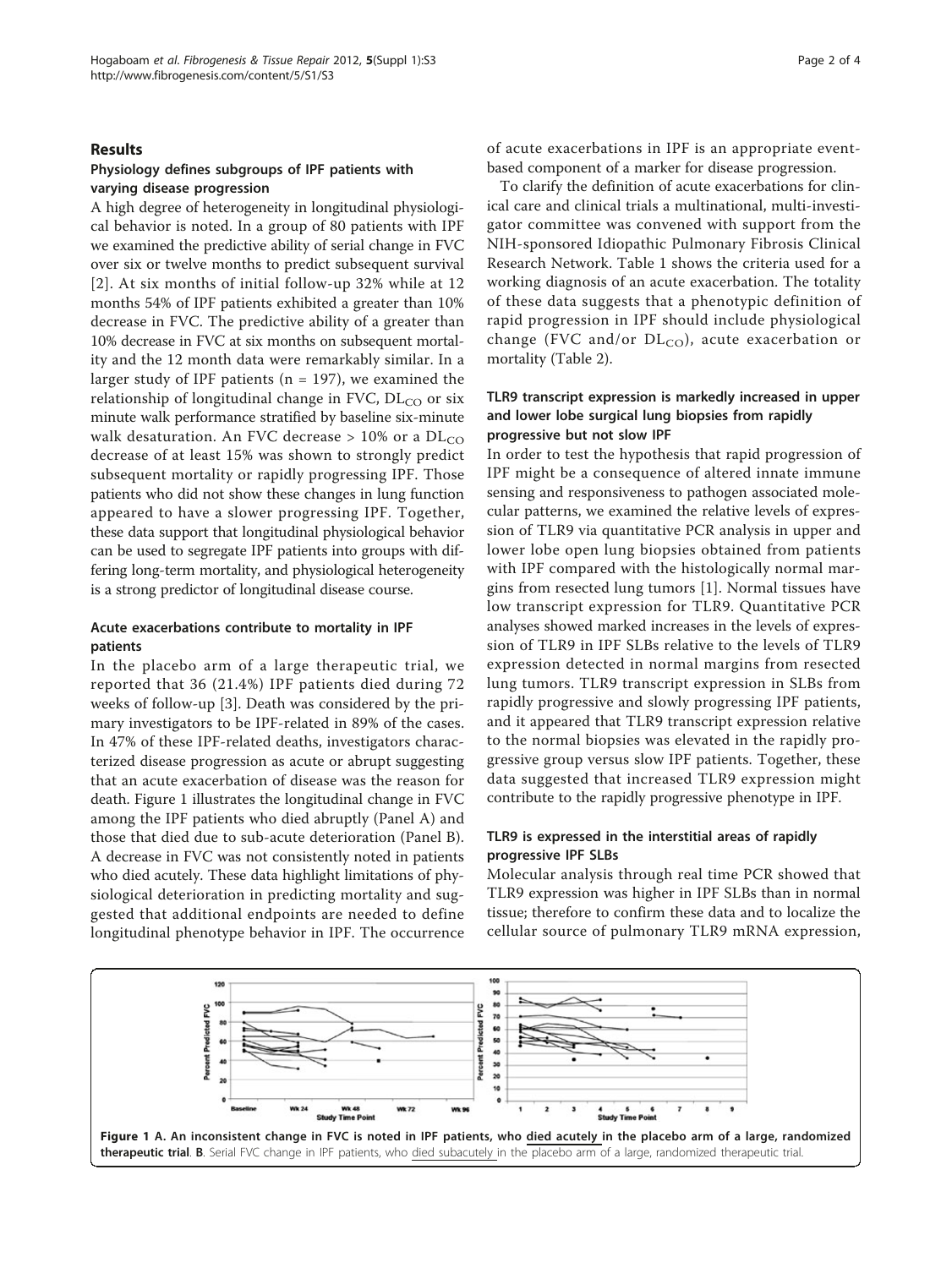#### Results

## Physiology defines subgroups of IPF patients with varying disease progression

A high degree of heterogeneity in longitudinal physiological behavior is noted. In a group of 80 patients with IPF we examined the predictive ability of serial change in FVC over six or twelve months to predict subsequent survival [[2](#page-3-0)]. At six months of initial follow-up 32% while at 12 months 54% of IPF patients exhibited a greater than 10% decrease in FVC. The predictive ability of a greater than 10% decrease in FVC at six months on subsequent mortality and the 12 month data were remarkably similar. In a larger study of IPF patients ( $n = 197$ ), we examined the relationship of longitudinal change in FVC,  $DL_{CO}$  or six minute walk performance stratified by baseline six-minute walk desaturation. An FVC decrease  $> 10\%$  or a DL<sub>CO</sub> decrease of at least 15% was shown to strongly predict subsequent mortality or rapidly progressing IPF. Those patients who did not show these changes in lung function appeared to have a slower progressing IPF. Together, these data support that longitudinal physiological behavior can be used to segregate IPF patients into groups with differing long-term mortality, and physiological heterogeneity is a strong predictor of longitudinal disease course.

## Acute exacerbations contribute to mortality in IPF patients

In the placebo arm of a large therapeutic trial, we reported that 36 (21.4%) IPF patients died during 72 weeks of follow-up [[3\]](#page-3-0). Death was considered by the primary investigators to be IPF-related in 89% of the cases. In 47% of these IPF-related deaths, investigators characterized disease progression as acute or abrupt suggesting that an acute exacerbation of disease was the reason for death. Figure 1 illustrates the longitudinal change in FVC among the IPF patients who died abruptly (Panel A) and those that died due to sub-acute deterioration (Panel B). A decrease in FVC was not consistently noted in patients who died acutely. These data highlight limitations of physiological deterioration in predicting mortality and suggested that additional endpoints are needed to define longitudinal phenotype behavior in IPF. The occurrence of acute exacerbations in IPF is an appropriate eventbased component of a marker for disease progression.

To clarify the definition of acute exacerbations for clinical care and clinical trials a multinational, multi-investigator committee was convened with support from the NIH-sponsored Idiopathic Pulmonary Fibrosis Clinical Research Network. Table [1](#page-2-0) shows the criteria used for a working diagnosis of an acute exacerbation. The totality of these data suggests that a phenotypic definition of rapid progression in IPF should include physiological change (FVC and/or  $DL_{CO}$ ), acute exacerbation or mortality (Table [2](#page-2-0)).

#### TLR9 transcript expression is markedly increased in upper and lower lobe surgical lung biopsies from rapidly progressive but not slow IPF

In order to test the hypothesis that rapid progression of IPF might be a consequence of altered innate immune sensing and responsiveness to pathogen associated molecular patterns, we examined the relative levels of expression of TLR9 via quantitative PCR analysis in upper and lower lobe open lung biopsies obtained from patients with IPF compared with the histologically normal margins from resected lung tumors [\[1](#page-3-0)]. Normal tissues have low transcript expression for TLR9. Quantitative PCR analyses showed marked increases in the levels of expression of TLR9 in IPF SLBs relative to the levels of TLR9 expression detected in normal margins from resected lung tumors. TLR9 transcript expression in SLBs from rapidly progressive and slowly progressing IPF patients, and it appeared that TLR9 transcript expression relative to the normal biopsies was elevated in the rapidly progressive group versus slow IPF patients. Together, these data suggested that increased TLR9 expression might contribute to the rapidly progressive phenotype in IPF.

## TLR9 is expressed in the interstitial areas of rapidly progressive IPF SLBs

Molecular analysis through real time PCR showed that TLR9 expression was higher in IPF SLBs than in normal tissue; therefore to confirm these data and to localize the cellular source of pulmonary TLR9 mRNA expression,

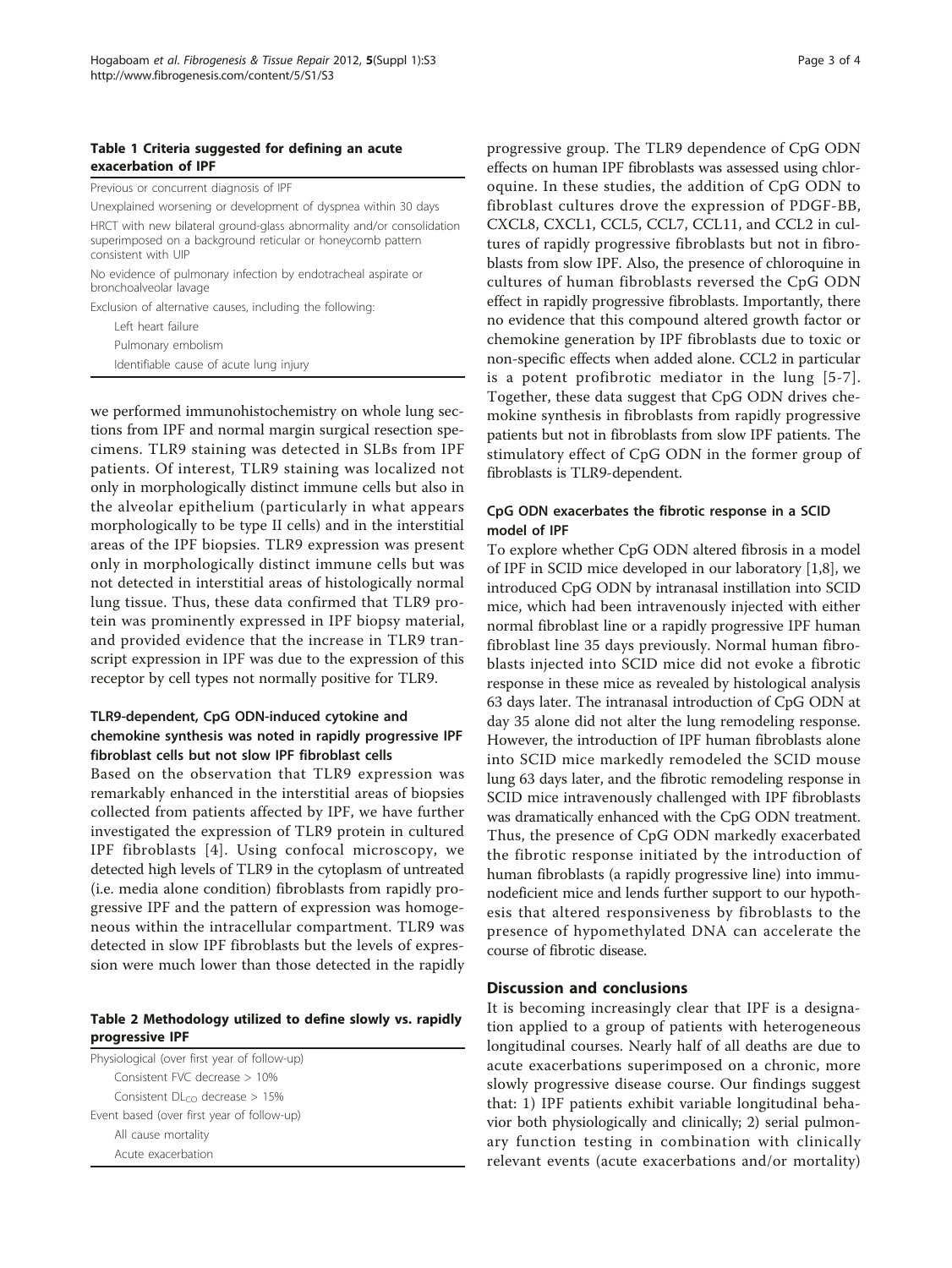#### <span id="page-2-0"></span>Table 1 Criteria suggested for defining an acute exacerbation of IPF

Previous or concurrent diagnosis of IPF

Unexplained worsening or development of dyspnea within 30 days HRCT with new bilateral ground-glass abnormality and/or consolidation superimposed on a background reticular or honeycomb pattern consistent with UIP

No evidence of pulmonary infection by endotracheal aspirate or bronchoalveolar lavage

Exclusion of alternative causes, including the following: Left heart failure

Pulmonary embolism

Identifiable cause of acute lung injury

we performed immunohistochemistry on whole lung sections from IPF and normal margin surgical resection specimens. TLR9 staining was detected in SLBs from IPF patients. Of interest, TLR9 staining was localized not only in morphologically distinct immune cells but also in the alveolar epithelium (particularly in what appears morphologically to be type II cells) and in the interstitial areas of the IPF biopsies. TLR9 expression was present only in morphologically distinct immune cells but was not detected in interstitial areas of histologically normal lung tissue. Thus, these data confirmed that TLR9 protein was prominently expressed in IPF biopsy material, and provided evidence that the increase in TLR9 transcript expression in IPF was due to the expression of this receptor by cell types not normally positive for TLR9.

## TLR9-dependent, CpG ODN-induced cytokine and chemokine synthesis was noted in rapidly progressive IPF fibroblast cells but not slow IPF fibroblast cells

Based on the observation that TLR9 expression was remarkably enhanced in the interstitial areas of biopsies collected from patients affected by IPF, we have further investigated the expression of TLR9 protein in cultured IPF fibroblasts [[4\]](#page-3-0). Using confocal microscopy, we detected high levels of TLR9 in the cytoplasm of untreated (i.e. media alone condition) fibroblasts from rapidly progressive IPF and the pattern of expression was homogeneous within the intracellular compartment. TLR9 was detected in slow IPF fibroblasts but the levels of expression were much lower than those detected in the rapidly

## Table 2 Methodology utilized to define slowly vs. rapidly progressive IPF

Physiological (over first year of follow-up) Consistent FVC decrease > 10% Consistent  $DL_{CO}$  decrease  $> 15%$ Event based (over first year of follow-up) All cause mortality Acute exacerbation

progressive group. The TLR9 dependence of CpG ODN effects on human IPF fibroblasts was assessed using chloroquine. In these studies, the addition of CpG ODN to fibroblast cultures drove the expression of PDGF-BB, CXCL8, CXCL1, CCL5, CCL7, CCL11, and CCL2 in cultures of rapidly progressive fibroblasts but not in fibroblasts from slow IPF. Also, the presence of chloroquine in cultures of human fibroblasts reversed the CpG ODN effect in rapidly progressive fibroblasts. Importantly, there no evidence that this compound altered growth factor or chemokine generation by IPF fibroblasts due to toxic or non-specific effects when added alone. CCL2 in particular is a potent profibrotic mediator in the lung [\[5-7\]](#page-3-0). Together, these data suggest that CpG ODN drives chemokine synthesis in fibroblasts from rapidly progressive patients but not in fibroblasts from slow IPF patients. The stimulatory effect of CpG ODN in the former group of fibroblasts is TLR9-dependent.

## CpG ODN exacerbates the fibrotic response in a SCID model of IPF

To explore whether CpG ODN altered fibrosis in a model of IPF in SCID mice developed in our laboratory [[1,8](#page-3-0)], we introduced CpG ODN by intranasal instillation into SCID mice, which had been intravenously injected with either normal fibroblast line or a rapidly progressive IPF human fibroblast line 35 days previously. Normal human fibroblasts injected into SCID mice did not evoke a fibrotic response in these mice as revealed by histological analysis 63 days later. The intranasal introduction of CpG ODN at day 35 alone did not alter the lung remodeling response. However, the introduction of IPF human fibroblasts alone into SCID mice markedly remodeled the SCID mouse lung 63 days later, and the fibrotic remodeling response in SCID mice intravenously challenged with IPF fibroblasts was dramatically enhanced with the CpG ODN treatment. Thus, the presence of CpG ODN markedly exacerbated the fibrotic response initiated by the introduction of human fibroblasts (a rapidly progressive line) into immunodeficient mice and lends further support to our hypothesis that altered responsiveness by fibroblasts to the presence of hypomethylated DNA can accelerate the course of fibrotic disease.

#### Discussion and conclusions

It is becoming increasingly clear that IPF is a designation applied to a group of patients with heterogeneous longitudinal courses. Nearly half of all deaths are due to acute exacerbations superimposed on a chronic, more slowly progressive disease course. Our findings suggest that: 1) IPF patients exhibit variable longitudinal behavior both physiologically and clinically; 2) serial pulmonary function testing in combination with clinically relevant events (acute exacerbations and/or mortality)